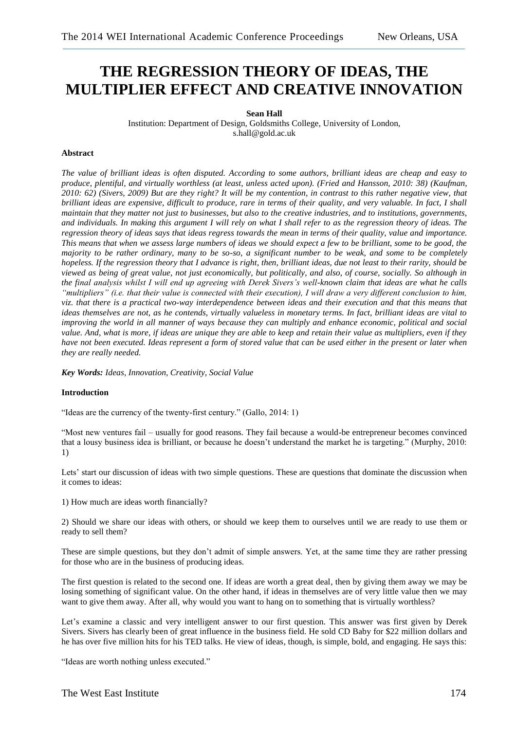# **THE REGRESSION THEORY OF IDEAS, THE MULTIPLIER EFFECT AND CREATIVE INNOVATION**

## **Sean Hall**

Institution: Department of Design, Goldsmiths College, University of London, s.hall@gold.ac.uk

## **Abstract**

*The value of brilliant ideas is often disputed. According to some authors, brilliant ideas are cheap and easy to produce, plentiful, and virtually worthless (at least, unless acted upon). (Fried and Hansson, 2010: 38) (Kaufman, 2010: 62) (Sivers, 2009) But are they right? It will be my contention, in contrast to this rather negative view, that brilliant ideas are expensive, difficult to produce, rare in terms of their quality, and very valuable. In fact, I shall maintain that they matter not just to businesses, but also to the creative industries, and to institutions, governments, and individuals. In making this argument I will rely on what I shall refer to as the regression theory of ideas. The regression theory of ideas says that ideas regress towards the mean in terms of their quality, value and importance. This means that when we assess large numbers of ideas we should expect a few to be brilliant, some to be good, the majority to be rather ordinary, many to be so-so, a significant number to be weak, and some to be completely hopeless. If the regression theory that I advance is right, then, brilliant ideas, due not least to their rarity, should be viewed as being of great value, not just economically, but politically, and also, of course, socially. So although in the final analysis whilst I will end up agreeing with Derek Sivers's well-known claim that ideas are what he calls "multipliers" (i.e. that their value is connected with their execution), I will draw a very different conclusion to him, viz. that there is a practical two-way interdependence between ideas and their execution and that this means that ideas themselves are not, as he contends, virtually valueless in monetary terms. In fact, brilliant ideas are vital to improving the world in all manner of ways because they can multiply and enhance economic, political and social value. And, what is more, if ideas are unique they are able to keep and retain their value as multipliers, even if they have not been executed. Ideas represent a form of stored value that can be used either in the present or later when they are really needed.*

*Key Words: Ideas, Innovation, Creativity, Social Value*

#### **Introduction**

"Ideas are the currency of the twenty-first century." (Gallo, 2014: 1)

"Most new ventures fail – usually for good reasons. They fail because a would-be entrepreneur becomes convinced that a lousy business idea is brilliant, or because he doesn't understand the market he is targeting." (Murphy, 2010: 1)

Lets' start our discussion of ideas with two simple questions. These are questions that dominate the discussion when it comes to ideas:

1) How much are ideas worth financially?

2) Should we share our ideas with others, or should we keep them to ourselves until we are ready to use them or ready to sell them?

These are simple questions, but they don't admit of simple answers. Yet, at the same time they are rather pressing for those who are in the business of producing ideas.

The first question is related to the second one. If ideas are worth a great deal, then by giving them away we may be losing something of significant value. On the other hand, if ideas in themselves are of very little value then we may want to give them away. After all, why would you want to hang on to something that is virtually worthless?

Let's examine a classic and very intelligent answer to our first question. This answer was first given by Derek Sivers. Sivers has clearly been of great influence in the business field. He sold CD Baby for \$22 million dollars and he has over five million hits for his TED talks. He view of ideas, though, is simple, bold, and engaging. He says this:

"Ideas are worth nothing unless executed."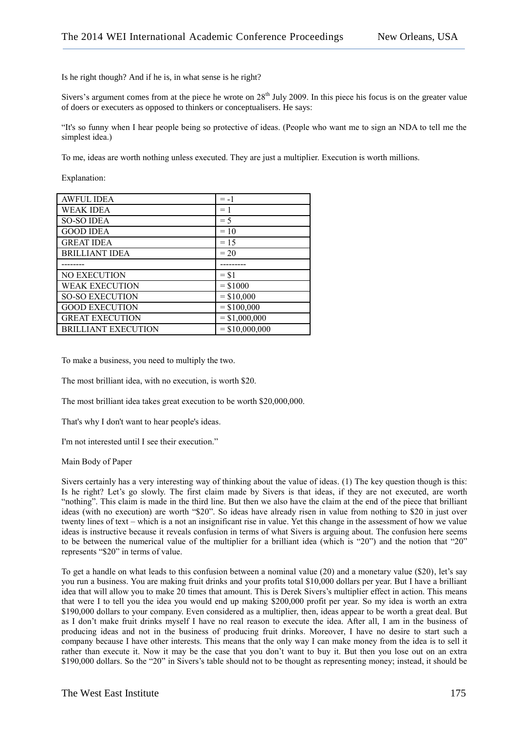Is he right though? And if he is, in what sense is he right?

Sivers's argument comes from at the piece he wrote on  $28<sup>th</sup>$  July 2009. In this piece his focus is on the greater value of doers or executers as opposed to thinkers or conceptualisers. He says:

"It's so funny when I hear people being so protective of ideas. (People who want me to sign an NDA to tell me the simplest idea.)

To me, ideas are worth nothing unless executed. They are just a multiplier. Execution is worth millions.

Explanation:

| <b>AWFUL IDEA</b>          | $= -1$           |
|----------------------------|------------------|
| <b>WEAK IDEA</b>           | $=1$             |
| <b>SO-SO IDEA</b>          | $=$ 5            |
| <b>GOOD IDEA</b>           | $=10$            |
| <b>GREAT IDEA</b>          | $= 1.5$          |
| <b>BRILLIANT IDEA</b>      | $= 20$           |
|                            |                  |
| <b>NO EXECUTION</b>        | $=$ \$1          |
| <b>WEAK EXECUTION</b>      | $=$ \$1000       |
| <b>SO-SO EXECUTION</b>     | $=$ \$10,000     |
| <b>GOOD EXECUTION</b>      | $=$ \$100,000    |
| <b>GREAT EXECUTION</b>     | $=$ \$1,000,000  |
| <b>BRILLIANT EXECUTION</b> | $=$ \$10,000,000 |

To make a business, you need to multiply the two.

The most brilliant idea, with no execution, is worth \$20.

The most brilliant idea takes great execution to be worth \$20,000,000.

That's why I don't want to hear people's ideas.

I'm not interested until I see their execution."

Main Body of Paper

Sivers certainly has a very interesting way of thinking about the value of ideas. (1) The key question though is this: Is he right? Let's go slowly. The first claim made by Sivers is that ideas, if they are not executed, are worth "nothing". This claim is made in the third line. But then we also have the claim at the end of the piece that brilliant ideas (with no execution) are worth "\$20". So ideas have already risen in value from nothing to \$20 in just over twenty lines of text – which is a not an insignificant rise in value. Yet this change in the assessment of how we value ideas is instructive because it reveals confusion in terms of what Sivers is arguing about. The confusion here seems to be between the numerical value of the multiplier for a brilliant idea (which is "20") and the notion that "20" represents "\$20" in terms of value.

To get a handle on what leads to this confusion between a nominal value (20) and a monetary value (\$20), let's say you run a business. You are making fruit drinks and your profits total \$10,000 dollars per year. But I have a brilliant idea that will allow you to make 20 times that amount. This is Derek Sivers's multiplier effect in action. This means that were I to tell you the idea you would end up making \$200,000 profit per year. So my idea is worth an extra \$190,000 dollars to your company. Even considered as a multiplier, then, ideas appear to be worth a great deal. But as I don't make fruit drinks myself I have no real reason to execute the idea. After all, I am in the business of producing ideas and not in the business of producing fruit drinks. Moreover, I have no desire to start such a company because I have other interests. This means that the only way I can make money from the idea is to sell it rather than execute it. Now it may be the case that you don't want to buy it. But then you lose out on an extra \$190,000 dollars. So the "20" in Sivers's table should not to be thought as representing money; instead, it should be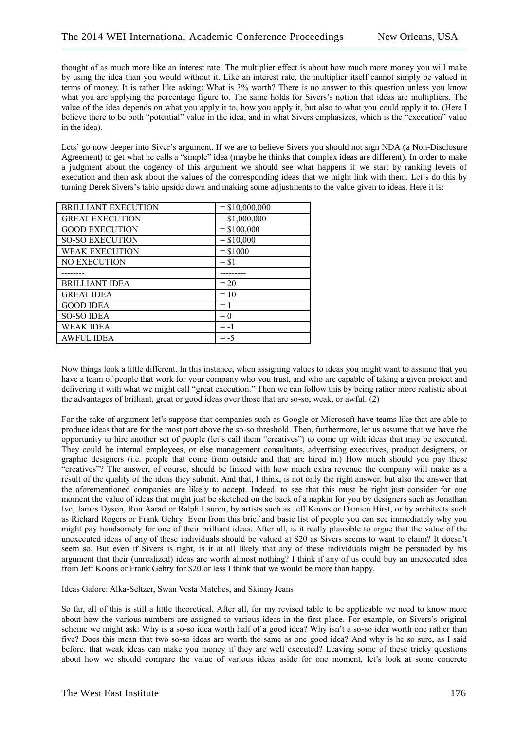thought of as much more like an interest rate. The multiplier effect is about how much more money you will make by using the idea than you would without it. Like an interest rate, the multiplier itself cannot simply be valued in terms of money. It is rather like asking: What is 3% worth? There is no answer to this question unless you know what you are applying the percentage figure to. The same holds for Sivers's notion that ideas are multipliers. The value of the idea depends on what you apply it to, how you apply it, but also to what you could apply it to. (Here I believe there to be both "potential" value in the idea, and in what Sivers emphasizes, which is the "execution" value in the idea).

Lets' go now deeper into Siver's argument. If we are to believe Sivers you should not sign NDA (a Non-Disclosure Agreement) to get what he calls a "simple" idea (maybe he thinks that complex ideas are different). In order to make a judgment about the cogency of this argument we should see what happens if we start by ranking levels of execution and then ask about the values of the corresponding ideas that we might link with them. Let's do this by turning Derek Sivers's table upside down and making some adjustments to the value given to ideas. Here it is:

| <b>BRILLIANT EXECUTION</b> | $=$ \$10,000,000 |
|----------------------------|------------------|
| <b>GREAT EXECUTION</b>     | $=$ \$1,000,000  |
| <b>GOOD EXECUTION</b>      | $=$ \$100,000    |
| <b>SO-SO EXECUTION</b>     | $= $10,000$      |
| <b>WEAK EXECUTION</b>      | $=$ \$1000       |
| <b>NO EXECUTION</b>        | $=$ \$1          |
|                            |                  |
|                            |                  |
| <b>BRILLIANT IDEA</b>      | $= 20$           |
| <b>GREAT IDEA</b>          | $=10$            |
| <b>GOOD IDEA</b>           | $=1$             |
| <b>SO-SO IDEA</b>          | $= 0$            |
| <b>WEAK IDEA</b>           | $= -1$           |

Now things look a little different. In this instance, when assigning values to ideas you might want to assume that you have a team of people that work for your company who you trust, and who are capable of taking a given project and delivering it with what we might call "great execution." Then we can follow this by being rather more realistic about the advantages of brilliant, great or good ideas over those that are so-so, weak, or awful. (2)

For the sake of argument let's suppose that companies such as Google or Microsoft have teams like that are able to produce ideas that are for the most part above the so-so threshold. Then, furthermore, let us assume that we have the opportunity to hire another set of people (let's call them "creatives") to come up with ideas that may be executed. They could be internal employees, or else management consultants, advertising executives, product designers, or graphic designers (i.e. people that come from outside and that are hired in.) How much should you pay these "creatives"? The answer, of course, should be linked with how much extra revenue the company will make as a result of the quality of the ideas they submit. And that, I think, is not only the right answer, but also the answer that the aforementioned companies are likely to accept. Indeed, to see that this must be right just consider for one moment the value of ideas that might just be sketched on the back of a napkin for you by designers such as Jonathan Ive, James Dyson, Ron Aarad or Ralph Lauren, by artists such as Jeff Koons or Damien Hirst, or by architects such as Richard Rogers or Frank Gehry. Even from this brief and basic list of people you can see immediately why you might pay handsomely for one of their brilliant ideas. After all, is it really plausible to argue that the value of the unexecuted ideas of any of these individuals should be valued at \$20 as Sivers seems to want to claim? It doesn't seem so. But even if Sivers is right, is it at all likely that any of these individuals might be persuaded by his argument that their (unrealized) ideas are worth almost nothing? I think if any of us could buy an unexecuted idea from Jeff Koons or Frank Gehry for \$20 or less I think that we would be more than happy.

Ideas Galore: Alka-Seltzer, Swan Vesta Matches, and Skinny Jeans

So far, all of this is still a little theoretical. After all, for my revised table to be applicable we need to know more about how the various numbers are assigned to various ideas in the first place. For example, on Sivers's original scheme we might ask: Why is a so-so idea worth half of a good idea? Why isn't a so-so idea worth one rather than five? Does this mean that two so-so ideas are worth the same as one good idea? And why is he so sure, as I said before, that weak ideas can make you money if they are well executed? Leaving some of these tricky questions about how we should compare the value of various ideas aside for one moment, let's look at some concrete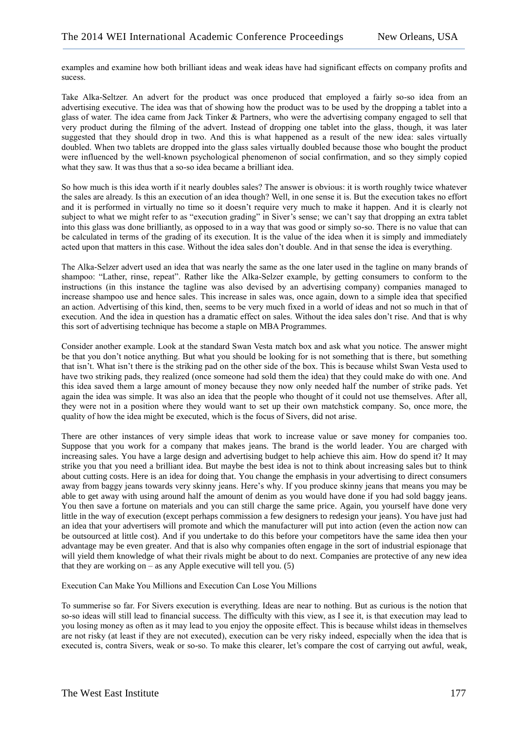examples and examine how both brilliant ideas and weak ideas have had significant effects on company profits and sucess.

Take Alka-Seltzer. An advert for the product was once produced that employed a fairly so-so idea from an advertising executive. The idea was that of showing how the product was to be used by the dropping a tablet into a glass of water. The idea came from Jack Tinker & Partners, who were the advertising company engaged to sell that very product during the filming of the advert. Instead of dropping one tablet into the glass, though, it was later suggested that they should drop in two. And this is what happened as a result of the new idea: sales virtually doubled. When two tablets are dropped into the glass sales virtually doubled because those who bought the product were influenced by the well-known psychological phenomenon of social confirmation, and so they simply copied what they saw. It was thus that a so-so idea became a brilliant idea.

So how much is this idea worth if it nearly doubles sales? The answer is obvious: it is worth roughly twice whatever the sales are already. Is this an execution of an idea though? Well, in one sense it is. But the execution takes no effort and it is performed in virtually no time so it doesn't require very much to make it happen. And it is clearly not subject to what we might refer to as "execution grading" in Siver's sense; we can't say that dropping an extra tablet into this glass was done brilliantly, as opposed to in a way that was good or simply so-so. There is no value that can be calculated in terms of the grading of its execution. It is the value of the idea when it is simply and immediately acted upon that matters in this case. Without the idea sales don't double. And in that sense the idea is everything.

The Alka-Selzer advert used an idea that was nearly the same as the one later used in the tagline on many brands of shampoo: "Lather, rinse, repeat". Rather like the Alka-Selzer example, by getting consumers to conform to the instructions (in this instance the tagline was also devised by an advertising company) companies managed to increase shampoo use and hence sales. This increase in sales was, once again, down to a simple idea that specified an action. Advertising of this kind, then, seems to be very much fixed in a world of ideas and not so much in that of execution. And the idea in question has a dramatic effect on sales. Without the idea sales don't rise. And that is why this sort of advertising technique has become a staple on MBA Programmes.

Consider another example. Look at the standard Swan Vesta match box and ask what you notice. The answer might be that you don't notice anything. But what you should be looking for is not something that is there, but something that isn't. What isn't there is the striking pad on the other side of the box. This is because whilst Swan Vesta used to have two striking pads, they realized (once someone had sold them the idea) that they could make do with one. And this idea saved them a large amount of money because they now only needed half the number of strike pads. Yet again the idea was simple. It was also an idea that the people who thought of it could not use themselves. After all, they were not in a position where they would want to set up their own matchstick company. So, once more, the quality of how the idea might be executed, which is the focus of Sivers, did not arise.

There are other instances of very simple ideas that work to increase value or save money for companies too. Suppose that you work for a company that makes jeans. The brand is the world leader. You are charged with increasing sales. You have a large design and advertising budget to help achieve this aim. How do spend it? It may strike you that you need a brilliant idea. But maybe the best idea is not to think about increasing sales but to think about cutting costs. Here is an idea for doing that. You change the emphasis in your advertising to direct consumers away from baggy jeans towards very skinny jeans. Here's why. If you produce skinny jeans that means you may be able to get away with using around half the amount of denim as you would have done if you had sold baggy jeans. You then save a fortune on materials and you can still charge the same price. Again, you yourself have done very little in the way of execution (except perhaps commission a few designers to redesign your jeans). You have just had an idea that your advertisers will promote and which the manufacturer will put into action (even the action now can be outsourced at little cost). And if you undertake to do this before your competitors have the same idea then your advantage may be even greater. And that is also why companies often engage in the sort of industrial espionage that will yield them knowledge of what their rivals might be about to do next. Companies are protective of any new idea that they are working on – as any Apple executive will tell you.  $(5)$ 

Execution Can Make You Millions and Execution Can Lose You Millions

To summerise so far. For Sivers execution is everything. Ideas are near to nothing. But as curious is the notion that so-so ideas will still lead to financial success. The difficulty with this view, as I see it, is that execution may lead to you losing money as often as it may lead to you enjoy the opposite effect. This is because whilst ideas in themselves are not risky (at least if they are not executed), execution can be very risky indeed, especially when the idea that is executed is, contra Sivers, weak or so-so. To make this clearer, let's compare the cost of carrying out awful, weak,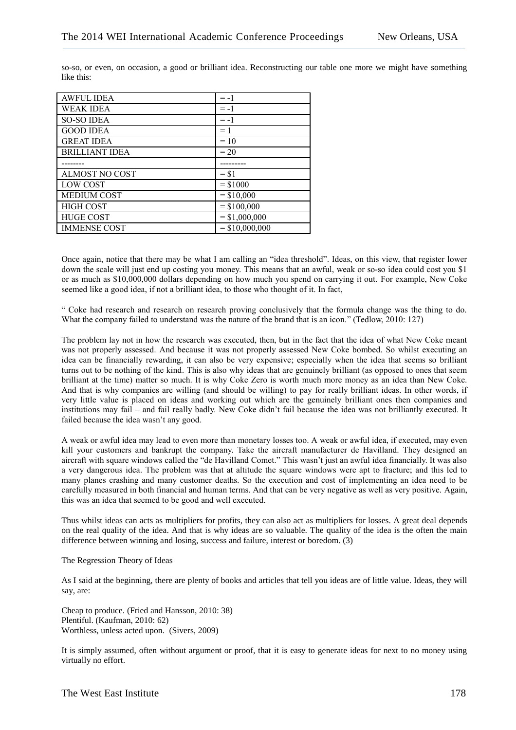| <b>AWFUL IDEA</b>     | $= -1$           |
|-----------------------|------------------|
| <b>WEAK IDEA</b>      | $= -1$           |
| <b>SO-SO IDEA</b>     | $= -1$           |
| <b>GOOD IDEA</b>      | $=1$             |
| <b>GREAT IDEA</b>     | $=10$            |
| <b>BRILLIANT IDEA</b> | $= 20$           |
|                       |                  |
| ALMOST NO COST        | $=$ \$1          |
| <b>LOW COST</b>       | $=$ \$1000       |
| <b>MEDIUM COST</b>    | $= $10,000$      |
| <b>HIGH COST</b>      | $=$ \$100,000    |
| <b>HUGE COST</b>      | $=$ \$1,000,000  |
| <b>IMMENSE COST</b>   | $=$ \$10,000,000 |

so-so, or even, on occasion, a good or brilliant idea. Reconstructing our table one more we might have something like this:

Once again, notice that there may be what I am calling an "idea threshold". Ideas, on this view, that register lower down the scale will just end up costing you money. This means that an awful, weak or so-so idea could cost you \$1 or as much as \$10,000,000 dollars depending on how much you spend on carrying it out. For example, New Coke seemed like a good idea, if not a brilliant idea, to those who thought of it. In fact,

" Coke had research and research on research proving conclusively that the formula change was the thing to do. What the company failed to understand was the nature of the brand that is an icon." (Tedlow, 2010: 127)

The problem lay not in how the research was executed, then, but in the fact that the idea of what New Coke meant was not properly assessed. And because it was not properly assessed New Coke bombed. So whilst executing an idea can be financially rewarding, it can also be very expensive; especially when the idea that seems so brilliant turns out to be nothing of the kind. This is also why ideas that are genuinely brilliant (as opposed to ones that seem brilliant at the time) matter so much. It is why Coke Zero is worth much more money as an idea than New Coke. And that is why companies are willing (and should be willing) to pay for really brilliant ideas. In other words, if very little value is placed on ideas and working out which are the genuinely brilliant ones then companies and institutions may fail – and fail really badly. New Coke didn't fail because the idea was not brilliantly executed. It failed because the idea wasn't any good.

A weak or awful idea may lead to even more than monetary losses too. A weak or awful idea, if executed, may even kill your customers and bankrupt the company. Take the aircraft manufacturer de Havilland. They designed an aircraft with square windows called the "de Havilland Comet." This wasn't just an awful idea financially. It was also a very dangerous idea. The problem was that at altitude the square windows were apt to fracture; and this led to many planes crashing and many customer deaths. So the execution and cost of implementing an idea need to be carefully measured in both financial and human terms. And that can be very negative as well as very positive. Again, this was an idea that seemed to be good and well executed.

Thus whilst ideas can acts as multipliers for profits, they can also act as multipliers for losses. A great deal depends on the real quality of the idea. And that is why ideas are so valuable. The quality of the idea is the often the main difference between winning and losing, success and failure, interest or boredom. (3)

The Regression Theory of Ideas

As I said at the beginning, there are plenty of books and articles that tell you ideas are of little value. Ideas, they will say, are:

Cheap to produce. (Fried and Hansson, 2010: 38) Plentiful. (Kaufman, 2010: 62) Worthless, unless acted upon. (Sivers, 2009)

It is simply assumed, often without argument or proof, that it is easy to generate ideas for next to no money using virtually no effort.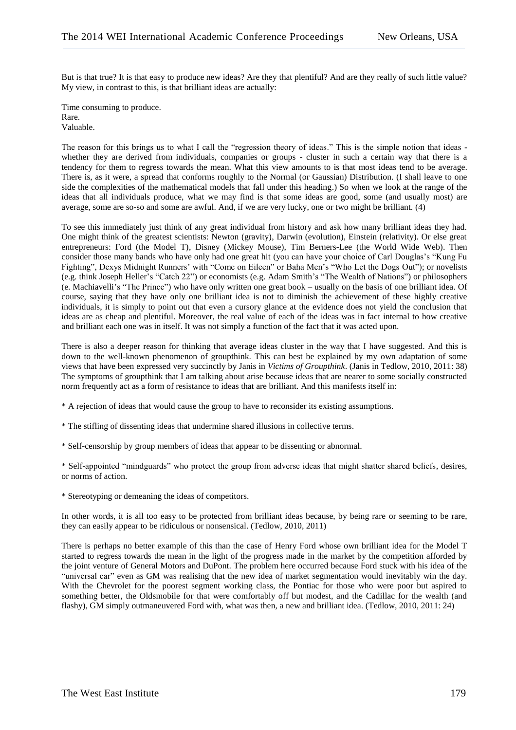But is that true? It is that easy to produce new ideas? Are they that plentiful? And are they really of such little value? My view, in contrast to this, is that brilliant ideas are actually:

Time consuming to produce. Rare. Valuable.

The reason for this brings us to what I call the "regression theory of ideas." This is the simple notion that ideas whether they are derived from individuals, companies or groups - cluster in such a certain way that there is a tendency for them to regress towards the mean. What this view amounts to is that most ideas tend to be average. There is, as it were, a spread that conforms roughly to the Normal (or Gaussian) Distribution. (I shall leave to one side the complexities of the mathematical models that fall under this heading.) So when we look at the range of the ideas that all individuals produce, what we may find is that some ideas are good, some (and usually most) are average, some are so-so and some are awful. And, if we are very lucky, one or two might be brilliant. (4)

To see this immediately just think of any great individual from history and ask how many brilliant ideas they had. One might think of the greatest scientists: Newton (gravity), Darwin (evolution), Einstein (relativity). Or else great entrepreneurs: Ford (the Model T), Disney (Mickey Mouse), Tim Berners-Lee (the World Wide Web). Then consider those many bands who have only had one great hit (you can have your choice of Carl Douglas's "Kung Fu Fighting", Dexys Midnight Runners' with "Come on Eileen" or Baha Men's "Who Let the Dogs Out"); or novelists (e.g. think Joseph Heller's "Catch 22") or economists (e.g. Adam Smith's "The Wealth of Nations") or philosophers (e. Machiavelli's "The Prince") who have only written one great book – usually on the basis of one brilliant idea. Of course, saying that they have only one brilliant idea is not to diminish the achievement of these highly creative individuals, it is simply to point out that even a cursory glance at the evidence does not yield the conclusion that ideas are as cheap and plentiful. Moreover, the real value of each of the ideas was in fact internal to how creative and brilliant each one was in itself. It was not simply a function of the fact that it was acted upon.

There is also a deeper reason for thinking that average ideas cluster in the way that I have suggested. And this is down to the well-known phenomenon of groupthink. This can best be explained by my own adaptation of some views that have been expressed very succinctly by Janis in *Victims of Groupthink*. (Janis in Tedlow, 2010, 2011: 38) The symptoms of groupthink that I am talking about arise because ideas that are nearer to some socially constructed norm frequently act as a form of resistance to ideas that are brilliant. And this manifests itself in:

\* A rejection of ideas that would cause the group to have to reconsider its existing assumptions.

\* The stifling of dissenting ideas that undermine shared illusions in collective terms.

\* Self-censorship by group members of ideas that appear to be dissenting or abnormal.

\* Self-appointed "mindguards" who protect the group from adverse ideas that might shatter shared beliefs, desires, or norms of action.

\* Stereotyping or demeaning the ideas of competitors.

In other words, it is all too easy to be protected from brilliant ideas because, by being rare or seeming to be rare, they can easily appear to be ridiculous or nonsensical. (Tedlow, 2010, 2011)

There is perhaps no better example of this than the case of Henry Ford whose own brilliant idea for the Model T started to regress towards the mean in the light of the progress made in the market by the competition afforded by the joint venture of General Motors and DuPont. The problem here occurred because Ford stuck with his idea of the "universal car" even as GM was realising that the new idea of market segmentation would inevitably win the day. With the Chevrolet for the poorest segment working class, the Pontiac for those who were poor but aspired to something better, the Oldsmobile for that were comfortably off but modest, and the Cadillac for the wealth (and flashy), GM simply outmaneuvered Ford with, what was then, a new and brilliant idea. (Tedlow, 2010, 2011: 24)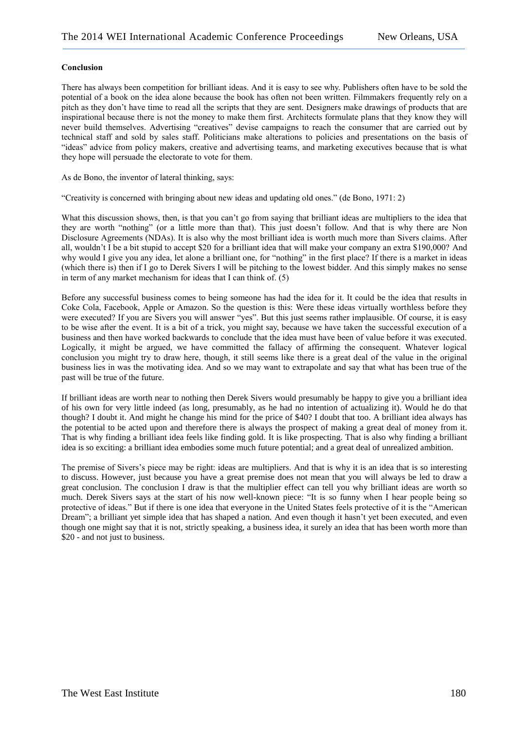#### **Conclusion**

There has always been competition for brilliant ideas. And it is easy to see why. Publishers often have to be sold the potential of a book on the idea alone because the book has often not been written. Filmmakers frequently rely on a pitch as they don't have time to read all the scripts that they are sent. Designers make drawings of products that are inspirational because there is not the money to make them first. Architects formulate plans that they know they will never build themselves. Advertising "creatives" devise campaigns to reach the consumer that are carried out by technical staff and sold by sales staff. Politicians make alterations to policies and presentations on the basis of "ideas" advice from policy makers, creative and advertising teams, and marketing executives because that is what they hope will persuade the electorate to vote for them.

As de Bono, the inventor of lateral thinking, says:

"Creativity is concerned with bringing about new ideas and updating old ones." (de Bono, 1971: 2)

What this discussion shows, then, is that you can't go from saying that brilliant ideas are multipliers to the idea that they are worth "nothing" (or a little more than that). This just doesn't follow. And that is why there are Non Disclosure Agreements (NDAs). It is also why the most brilliant idea is worth much more than Sivers claims. After all, wouldn't I be a bit stupid to accept \$20 for a brilliant idea that will make your company an extra \$190,000? And why would I give you any idea, let alone a brilliant one, for "nothing" in the first place? If there is a market in ideas (which there is) then if I go to Derek Sivers I will be pitching to the lowest bidder. And this simply makes no sense in term of any market mechanism for ideas that I can think of. (5)

Before any successful business comes to being someone has had the idea for it. It could be the idea that results in Coke Cola, Facebook, Apple or Amazon. So the question is this: Were these ideas virtually worthless before they were executed? If you are Sivers you will answer "yes". But this just seems rather implausible. Of course, it is easy to be wise after the event. It is a bit of a trick, you might say, because we have taken the successful execution of a business and then have worked backwards to conclude that the idea must have been of value before it was executed. Logically, it might be argued, we have committed the fallacy of affirming the consequent. Whatever logical conclusion you might try to draw here, though, it still seems like there is a great deal of the value in the original business lies in was the motivating idea. And so we may want to extrapolate and say that what has been true of the past will be true of the future.

If brilliant ideas are worth near to nothing then Derek Sivers would presumably be happy to give you a brilliant idea of his own for very little indeed (as long, presumably, as he had no intention of actualizing it). Would he do that though? I doubt it. And might he change his mind for the price of \$40? I doubt that too. A brilliant idea always has the potential to be acted upon and therefore there is always the prospect of making a great deal of money from it. That is why finding a brilliant idea feels like finding gold. It is like prospecting. That is also why finding a brilliant idea is so exciting: a brilliant idea embodies some much future potential; and a great deal of unrealized ambition.

The premise of Sivers's piece may be right: ideas are multipliers. And that is why it is an idea that is so interesting to discuss. However, just because you have a great premise does not mean that you will always be led to draw a great conclusion. The conclusion I draw is that the multiplier effect can tell you why brilliant ideas are worth so much. Derek Sivers says at the start of his now well-known piece: "It is so funny when I hear people being so protective of ideas." But if there is one idea that everyone in the United States feels protective of it is the "American Dream"; a brilliant yet simple idea that has shaped a nation. And even though it hasn't yet been executed, and even though one might say that it is not, strictly speaking, a business idea, it surely an idea that has been worth more than \$20 - and not just to business.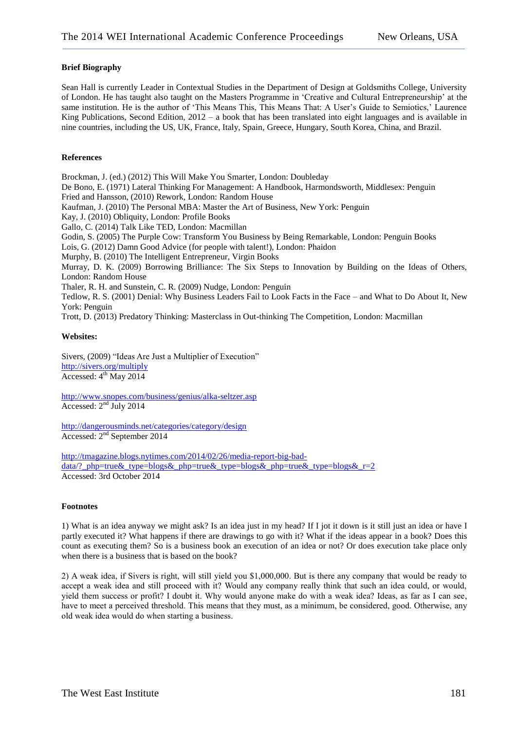### **Brief Biography**

Sean Hall is currently Leader in Contextual Studies in the Department of Design at Goldsmiths College, University of London. He has taught also taught on the Masters Programme in 'Creative and Cultural Entrepreneurship' at the same institution. He is the author of 'This Means This, This Means That: A User's Guide to Semiotics,' Laurence King Publications, Second Edition, 2012 – a book that has been translated into eight languages and is available in nine countries, including the US, UK, France, Italy, Spain, Greece, Hungary, South Korea, China, and Brazil.

#### **References**

Brockman, J. (ed.) (2012) This Will Make You Smarter, London: Doubleday De Bono, E. (1971) Lateral Thinking For Management: A Handbook, Harmondsworth, Middlesex: Penguin Fried and Hansson, (2010) Rework, London: Random House Kaufman, J. (2010) The Personal MBA: Master the Art of Business, New York: Penguin Kay, J. (2010) Obliquity, London: Profile Books Gallo, C. (2014) Talk Like TED, London: Macmillan Godin, S. (2005) The Purple Cow: Transform You Business by Being Remarkable, London: Penguin Books Lois, G. (2012) Damn Good Advice (for people with talent!), London: Phaidon Murphy, B. (2010) The Intelligent Entrepreneur, Virgin Books Murray, D. K. (2009) Borrowing Brilliance: The Six Steps to Innovation by Building on the Ideas of Others, London: Random House Thaler, R. H. and Sunstein, C. R. (2009) Nudge, London: Penguin Tedlow, R. S. (2001) Denial: Why Business Leaders Fail to Look Facts in the Face – and What to Do About It, New York: Penguin Trott, D. (2013) Predatory Thinking: Masterclass in Out-thinking The Competition, London: Macmillan

#### **Websites:**

Sivers, (2009) "Ideas Are Just a Multiplier of Execution" <http://sivers.org/multiply> Accessed: 4<sup>th</sup> May 2014

<http://www.snopes.com/business/genius/alka-seltzer.asp> Accessed:  $2<sup>nd</sup>$  July 2014

<http://dangerousminds.net/categories/category/design> Accessed: 2nd September 2014

[http://tmagazine.blogs.nytimes.com/2014/02/26/media-report-big-bad](http://tmagazine.blogs.nytimes.com/2014/02/26/media-report-big-bad-data/?_php=true&_type=blogs&_php=true&_type=blogs&_php=true&_type=blogs&_r=2)[data/?\\_php=true&\\_type=blogs&\\_php=true&\\_type=blogs&\\_php=true&\\_type=blogs&\\_r=2](http://tmagazine.blogs.nytimes.com/2014/02/26/media-report-big-bad-data/?_php=true&_type=blogs&_php=true&_type=blogs&_php=true&_type=blogs&_r=2) Accessed: 3rd October 2014

#### **Footnotes**

1) What is an idea anyway we might ask? Is an idea just in my head? If I jot it down is it still just an idea or have I partly executed it? What happens if there are drawings to go with it? What if the ideas appear in a book? Does this count as executing them? So is a business book an execution of an idea or not? Or does execution take place only when there is a business that is based on the book?

2) A weak idea, if Sivers is right, will still yield you \$1,000,000. But is there any company that would be ready to accept a weak idea and still proceed with it? Would any company really think that such an idea could, or would, yield them success or profit? I doubt it. Why would anyone make do with a weak idea? Ideas, as far as I can see, have to meet a perceived threshold. This means that they must, as a minimum, be considered, good. Otherwise, any old weak idea would do when starting a business.